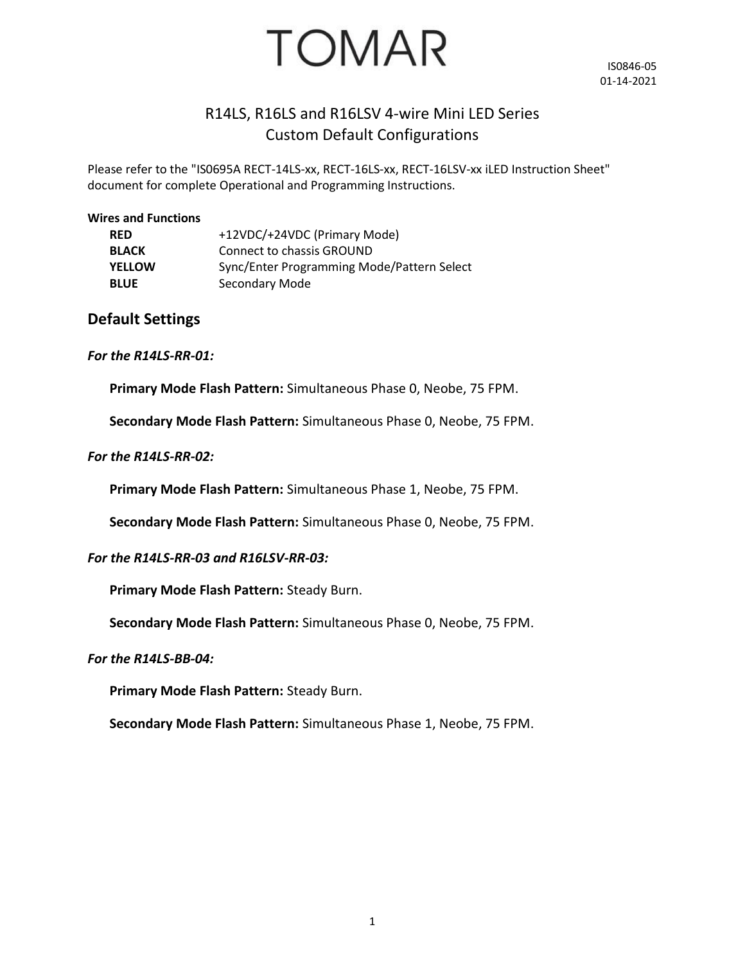

IS0846-05 01-14-2021

## R14LS, R16LS and R16LSV 4-wire Mini LED Series Custom Default Configurations

Please refer to the "IS0695A RECT-14LS-xx, RECT-16LS-xx, RECT-16LSV-xx iLED Instruction Sheet" document for complete Operational and Programming Instructions.

#### **Wires and Functions**

| <b>RED</b>    | +12VDC/+24VDC (Primary Mode)               |
|---------------|--------------------------------------------|
| <b>BLACK</b>  | Connect to chassis GROUND                  |
| <b>YELLOW</b> | Sync/Enter Programming Mode/Pattern Select |
| <b>BLUE</b>   | Secondary Mode                             |

### **Default Settings**

### *For the R14LS-RR-01:*

**Primary Mode Flash Pattern:** Simultaneous Phase 0, Neobe, 75 FPM.

**Secondary Mode Flash Pattern:** Simultaneous Phase 0, Neobe, 75 FPM.

### *For the R14LS-RR-02:*

**Primary Mode Flash Pattern:** Simultaneous Phase 1, Neobe, 75 FPM.

**Secondary Mode Flash Pattern:** Simultaneous Phase 0, Neobe, 75 FPM.

### *For the R14LS-RR-03 and R16LSV-RR-03:*

**Primary Mode Flash Pattern:** Steady Burn.

**Secondary Mode Flash Pattern:** Simultaneous Phase 0, Neobe, 75 FPM.

### *For the R14LS-BB-04:*

**Primary Mode Flash Pattern:** Steady Burn.

**Secondary Mode Flash Pattern:** Simultaneous Phase 1, Neobe, 75 FPM.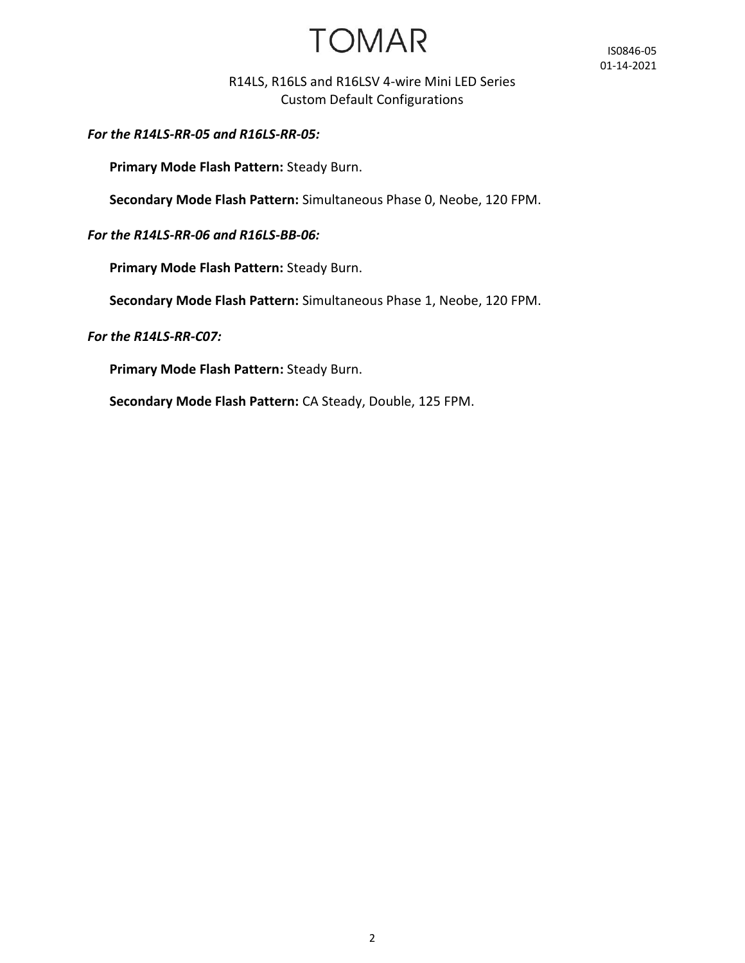# **TOMAR**

IS0846-05 01-14-2021

### R14LS, R16LS and R16LSV 4-wire Mini LED Series Custom Default Configurations

*For the R14LS-RR-05 and R16LS-RR-05:*

**Primary Mode Flash Pattern:** Steady Burn.

**Secondary Mode Flash Pattern:** Simultaneous Phase 0, Neobe, 120 FPM.

### *For the R14LS-RR-06 and R16LS-BB-06:*

**Primary Mode Flash Pattern:** Steady Burn.

**Secondary Mode Flash Pattern:** Simultaneous Phase 1, Neobe, 120 FPM.

*For the R14LS-RR-C07:*

**Primary Mode Flash Pattern:** Steady Burn.

**Secondary Mode Flash Pattern:** CA Steady, Double, 125 FPM.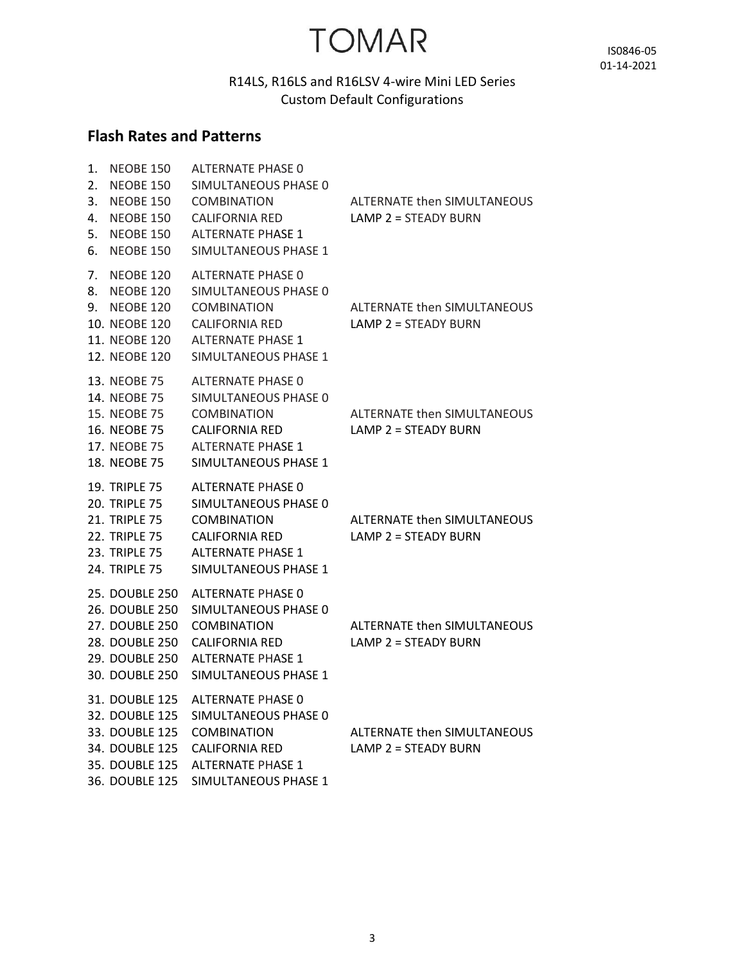# **TOMAR**

IS0846-05 01-14-2021

## R14LS, R16LS and R16LSV 4-wire Mini LED Series Custom Default Configurations

## **Flash Rates and Patterns**

| 1.<br>2.<br>3.<br>4.<br>5.<br>6. | <b>NEOBE 150</b><br>NEOBE 150<br><b>NEOBE 150</b><br>NEOBE 150<br><b>NEOBE 150</b><br>NEOBE 150                                       | ALTERNATE PHASE 0<br>SIMULTANEOUS PHASE 0<br><b>COMBINATION</b><br><b>CALIFORNIA RED</b><br><b>ALTERNATE PHASE 1</b><br>SIMULTANEOUS PHASE 1        | ALTERNATE then SIMULTANEOUS<br>LAMP 2 = STEADY BURN          |
|----------------------------------|---------------------------------------------------------------------------------------------------------------------------------------|-----------------------------------------------------------------------------------------------------------------------------------------------------|--------------------------------------------------------------|
| 7.<br>8.<br>9.                   | <b>NEOBE 120</b><br><b>NEOBE 120</b><br><b>NEOBE 120</b><br>10. NEOBE 120<br>11. NEOBE 120<br>12. NEOBE 120                           | <b>ALTERNATE PHASE 0</b><br>SIMULTANEOUS PHASE 0<br><b>COMBINATION</b><br><b>CALIFORNIA RED</b><br><b>ALTERNATE PHASE 1</b><br>SIMULTANEOUS PHASE 1 | <b>ALTERNATE then SIMULTANEOUS</b><br>$LAMP$ 2 = STEADY BURN |
|                                  | 13. NEOBE 75<br>14. NEOBE 75<br>15. NEOBE 75<br>16. NEOBE 75<br>17. NEOBE 75<br>18. NEOBE 75                                          | ALTERNATE PHASE 0<br>SIMULTANEOUS PHASE 0<br><b>COMBINATION</b><br><b>CALIFORNIA RED</b><br><b>ALTERNATE PHASE 1</b><br>SIMULTANEOUS PHASE 1        | ALTERNATE then SIMULTANEOUS<br>LAMP 2 = STEADY BURN          |
|                                  | <b>19. TRIPLE 75</b><br><b>20. TRIPLE 75</b><br><b>21. TRIPLE 75</b><br><b>22. TRIPLE 75</b><br>23. TRIPLE 75<br><b>24. TRIPLE 75</b> | ALTERNATE PHASE 0<br>SIMULTANEOUS PHASE 0<br><b>COMBINATION</b><br><b>CALIFORNIA RED</b><br><b>ALTERNATE PHASE 1</b><br>SIMULTANEOUS PHASE 1        | ALTERNATE then SIMULTANEOUS<br>LAMP $2 =$ STEADY BURN        |
|                                  | <b>25. DOUBLE 250</b><br>26. DOUBLE 250<br><b>27. DOUBLE 250</b><br>28. DOUBLE 250<br><b>29. DOUBLE 250</b><br>30. DOUBLE 250         | ALTERNATE PHASE 0<br>SIMULTANEOUS PHASE 0<br><b>COMBINATION</b><br><b>CALIFORNIA RED</b><br><b>ALTERNATE PHASE 1</b><br>SIMULTANEOUS PHASE 1        | <b>ALTERNATE then SIMULTANEOUS</b><br>LAMP 2 = STEADY BURN   |
|                                  | 31. DOUBLE 125<br>32. DOUBLE 125<br>33. DOUBLE 125<br>34. DOUBLE 125<br>35. DOUBLE 125<br>36. DOUBLE 125                              | ALTERNATE PHASE 0<br>SIMULTANEOUS PHASE 0<br><b>COMBINATION</b><br><b>CALIFORNIA RED</b><br><b>ALTERNATE PHASE 1</b><br>SIMULTANEOUS PHASE 1        | ALTERNATE then SIMULTANEOUS<br>LAMP 2 = STEADY BURN          |